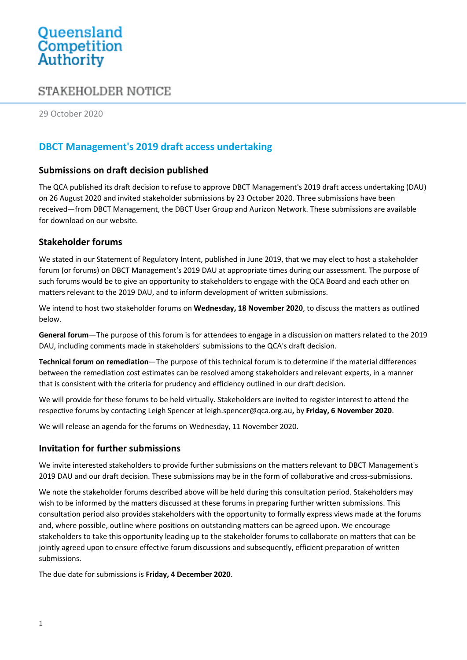# Queensland<br>Competition Authority

# STAKEHOLDER NOTICE

29 October 2020

# **DBCT Management's 2019 draft access undertaking**

## **Submissions on draft decision published**

The QCA published its draft decision to refuse to approve DBCT Management's 2019 draft access undertaking (DAU) on 26 August 2020 and invited stakeholder submissions by 23 October 2020. Three submissions have been received—from DBCT Management, the DBCT User Group and Aurizon Network. These submissions are available for download on our [website.](https://www.qca.org.au/project/dalrymple-bay-coal-terminal/2019-draft-access-undertaking/)

## **Stakeholder forums**

We stated in our Statement of Regulatory Intent, published in June 2019, that we may elect to host a stakeholder forum (or forums) on DBCT Management's 2019 DAU at appropriate times during our assessment. The purpose of such forums would be to give an opportunity to stakeholders to engage with the QCA Board and each other on matters relevant to the 2019 DAU, and to inform development of written submissions.

We intend to host two stakeholder forums on **Wednesday, 18 November 2020**, to discuss the matters as outlined below.

**General forum**—The purpose of this forum is for attendees to engage in a discussion on matters related to the 2019 DAU, including comments made in stakeholders' submissions to the QCA's draft decision.

**Technical forum on remediation**—The purpose of this technical forum is to determine if the material differences between the remediation cost estimates can be resolved among stakeholders and relevant experts, in a manner that is consistent with the criteria for prudency and efficiency outlined in our draft decision.

We will provide for these forums to be held virtually. Stakeholders are invited to register interest to attend the respective forums by contacting Leigh Spencer at [leigh.spencer@qca.org.au](mailto:leigh.spencer@qca.org.au)**,** by **Friday, 6 November 2020**.

We will release an agenda for the forums on Wednesday, 11 November 2020.

## **Invitation for further submissions**

We invite interested stakeholders to provide further submissions on the matters relevant to DBCT Management's 2019 DAU and our draft decision. These submissions may be in the form of collaborative and cross-submissions.

We note the stakeholder forums described above will be held during this consultation period. Stakeholders may wish to be informed by the matters discussed at these forums in preparing further written submissions. This consultation period also provides stakeholders with the opportunity to formally express views made at the forums and, where possible, outline where positions on outstanding matters can be agreed upon. We encourage stakeholders to take this opportunity leading up to the stakeholder forums to collaborate on matters that can be jointly agreed upon to ensure effective forum discussions and subsequently, efficient preparation of written submissions.

The due date for submissions is **Friday, 4 December 2020**.